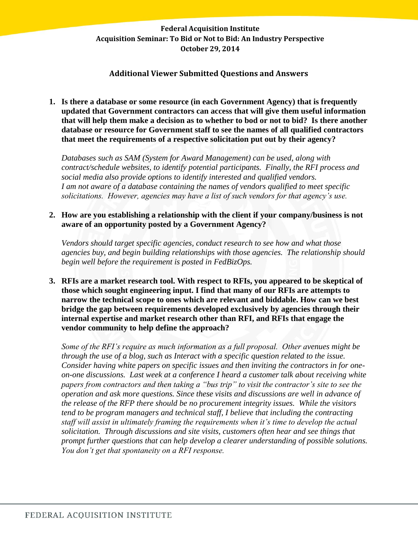**Additional Viewer Submitted Questions and Answers**

**1. Is there a database or some resource (in each Government Agency) that is frequently updated that Government contractors can access that will give them useful information that will help them make a decision as to whether to bod or not to bid? Is there another database or resource for Government staff to see the names of all qualified contractors that meet the requirements of a respective solicitation put out by their agency?**

*Databases such as SAM (System for Award Management) can be used, along with contract/schedule websites, to identify potential participants. Finally, the RFI process and social media also provide options to identify interested and qualified vendors. I am not aware of a database containing the names of vendors qualified to meet specific solicitations. However, agencies may have a list of such vendors for that agency's use.* 

**2. How are you establishing a relationship with the client if your company/business is not aware of an opportunity posted by a Government Agency?**

*Vendors should target specific agencies, conduct research to see how and what those agencies buy, and begin building relationships with those agencies. The relationship should begin well before the requirement is posted in FedBizOps.*

**3. RFIs are a market research tool. With respect to RFIs, you appeared to be skeptical of those which sought engineering input. I find that many of our RFIs are attempts to narrow the technical scope to ones which are relevant and biddable. How can we best bridge the gap between requirements developed exclusively by agencies through their internal expertise and market research other than RFI, and RFIs that engage the vendor community to help define the approach?**

*Some of the RFI's require as much information as a full proposal. Other avenues might be through the use of a blog, such as Interact with a specific question related to the issue. Consider having white papers on specific issues and then inviting the contractors in for oneon-one discussions. Last week at a conference I heard a customer talk about receiving white papers from contractors and then taking a "bus trip" to visit the contractor's site to see the operation and ask more questions. Since these visits and discussions are well in advance of the release of the RFP there should be no procurement integrity issues. While the visitors tend to be program managers and technical staff, I believe that including the contracting staff will assist in ultimately framing the requirements when it's time to develop the actual solicitation. Through discussions and site visits, customers often hear and see things that prompt further questions that can help develop a clearer understanding of possible solutions. You don't get that spontaneity on a RFI response.*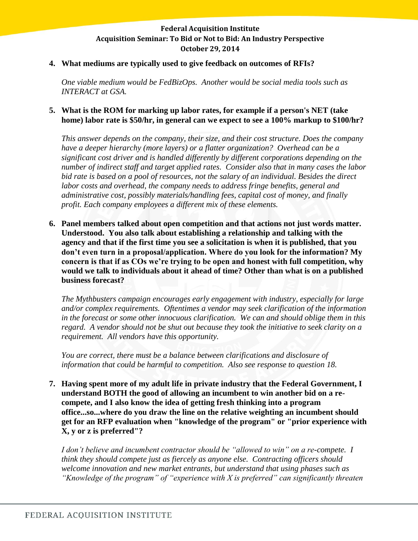#### **4. What mediums are typically used to give feedback on outcomes of RFIs?**

*One viable medium would be FedBizOps. Another would be social media tools such as INTERACT at GSA.*

#### **5. What is the ROM for marking up labor rates, for example if a person's NET (take home) labor rate is \$50/hr, in general can we expect to see a 100% markup to \$100/hr?**

*This answer depends on the company, their size, and their cost structure. Does the company have a deeper hierarchy (more layers) or a flatter organization? Overhead can be a significant cost driver and is handled differently by different corporations depending on the number of indirect staff and target applied rates. Consider also that in many cases the labor bid rate is based on a pool of resources, not the salary of an individual. Besides the direct labor costs and overhead, the company needs to address fringe benefits, general and administrative cost, possibly materials/handling fees, capital cost of money, and finally profit. Each company employees a different mix of these elements.*

**6. Panel members talked about open competition and that actions not just words matter. Understood. You also talk about establishing a relationship and talking with the agency and that if the first time you see a solicitation is when it is published, that you don't even turn in a proposal/application. Where do you look for the information? My concern is that if as COs we're trying to be open and honest with full competition, why would we talk to individuals about it ahead of time? Other than what is on a published business forecast?**

*The Mythbusters campaign encourages early engagement with industry, especially for large and/or complex requirements. Oftentimes a vendor may seek clarification of the information in the forecast or some other innocuous clarification. We can and should oblige them in this regard. A vendor should not be shut out because they took the initiative to seek clarity on a requirement. All vendors have this opportunity.*

*You are correct, there must be a balance between clarifications and disclosure of information that could be harmful to competition. Also see response to question 18.* 

**7. Having spent more of my adult life in private industry that the Federal Government, I understand BOTH the good of allowing an incumbent to win another bid on a recompete, and I also know the idea of getting fresh thinking into a program office...so...where do you draw the line on the relative weighting an incumbent should get for an RFP evaluation when "knowledge of the program" or "prior experience with X, y or z is preferred"?**

*I don't believe and incumbent contractor should be "allowed to win" on a re-compete. I think they should compete just as fiercely as anyone else. Contracting officers should welcome innovation and new market entrants, but understand that using phases such as "Knowledge of the program" of "experience with X is preferred" can significantly threaten*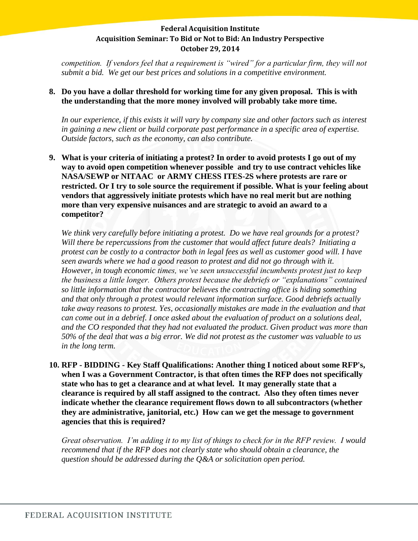*competition. If vendors feel that a requirement is "wired" for a particular firm, they will not submit a bid. We get our best prices and solutions in a competitive environment.* 

# **8. Do you have a dollar threshold for working time for any given proposal. This is with the understanding that the more money involved will probably take more time.**

*In our experience, if this exists it will vary by company size and other factors such as interest in gaining a new client or build corporate past performance in a specific area of expertise. Outside factors, such as the economy, can also contribute.*

**9. What is your criteria of initiating a protest? In order to avoid protests I go out of my way to avoid open competition whenever possible and try to use contract vehicles like NASA/SEWP or NITAAC or ARMY CHESS ITES-2S where protests are rare or restricted. Or I try to sole source the requirement if possible. What is your feeling about vendors that aggressively initiate protests which have no real merit but are nothing more than very expensive nuisances and are strategic to avoid an award to a competitor?**

*We think very carefully before initiating a protest. Do we have real grounds for a protest? Will there be repercussions from the customer that would affect future deals? Initiating a protest can be costly to a contractor both in legal fees as well as customer good will. I have*  seen awards where we had a good reason to protest and did not go through with it. *However, in tough economic times, we've seen unsuccessful incumbents protest just to keep the business a little longer. Others protest because the debriefs or "explanations" contained so little information that the contractor believes the contracting office is hiding something and that only through a protest would relevant information surface. Good debriefs actually take away reasons to protest. Yes, occasionally mistakes are made in the evaluation and that can come out in a debrief. I once asked about the evaluation of product on a solutions deal, and the CO responded that they had not evaluated the product. Given product was more than 50% of the deal that was a big error. We did not protest as the customer was valuable to us in the long term.*

**10. RFP - BIDDING - Key Staff Qualifications: Another thing I noticed about some RFP's, when I was a Government Contractor, is that often times the RFP does not specifically state who has to get a clearance and at what level. It may generally state that a clearance is required by all staff assigned to the contract. Also they often times never indicate whether the clearance requirement flows down to all subcontractors (whether they are administrative, janitorial, etc.) How can we get the message to government agencies that this is required?**

*Great observation. I'm adding it to my list of things to check for in the RFP review. I would recommend that if the RFP does not clearly state who should obtain a clearance, the question should be addressed during the Q&A or solicitation open period.*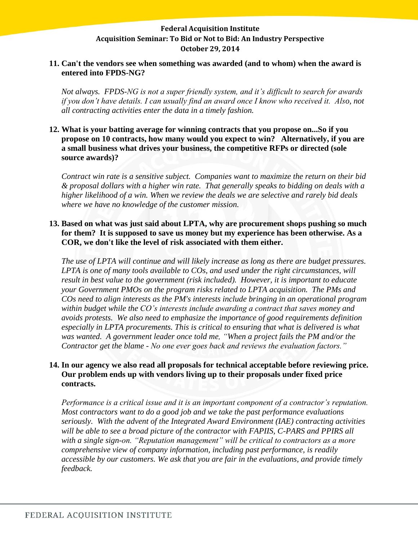#### **11. Can't the vendors see when something was awarded (and to whom) when the award is entered into FPDS-NG?**

*Not always. FPDS-NG is not a super friendly system, and it's difficult to search for awards if you don't have details. I can usually find an award once I know who received it. Also, not all contracting activities enter the data in a timely fashion.*

### **12. What is your batting average for winning contracts that you propose on...So if you propose on 10 contracts, how many would you expect to win? Alternatively, if you are a small business what drives your business, the competitive RFPs or directed (sole source awards)?**

*Contract win rate is a sensitive subject. Companies want to maximize the return on their bid & proposal dollars with a higher win rate. That generally speaks to bidding on deals with a higher likelihood of a win. When we review the deals we are selective and rarely bid deals where we have no knowledge of the customer mission.* 

### **13. Based on what was just said about LPTA, why are procurement shops pushing so much for them? It is supposed to save us money but my experience has been otherwise. As a COR, we don't like the level of risk associated with them either.**

*The use of LPTA will continue and will likely increase as long as there are budget pressures. LPTA is one of many tools available to COs, and used under the right circumstances, will result in best value to the government (risk included). However, it is important to educate your Government PMOs on the program risks related to LPTA acquisition. The PMs and COs need to align interests as the PM's interests include bringing in an operational program within budget while the CO's interests include awarding a contract that saves money and avoids protests. We also need to emphasize the importance of good requirements definition especially in LPTA procurements. This is critical to ensuring that what is delivered is what*  was wanted. A government leader once told me, "When a project fails the PM and/or the *Contractor get the blame - No one ever goes back and reviews the evaluation factors."*

### **14. In our agency we also read all proposals for technical acceptable before reviewing price. Our problem ends up with vendors living up to their proposals under fixed price contracts.**

*Performance is a critical issue and it is an important component of a contractor's reputation. Most contractors want to do a good job and we take the past performance evaluations seriously. With the advent of the Integrated Award Environment (IAE) contracting activities*  will be able to see a broad picture of the contractor with FAPIIS, C-PARS and PPIRS all *with a single sign-on. "Reputation management" will be critical to contractors as a more comprehensive view of company information, including past performance, is readily accessible by our customers. We ask that you are fair in the evaluations, and provide timely feedback.*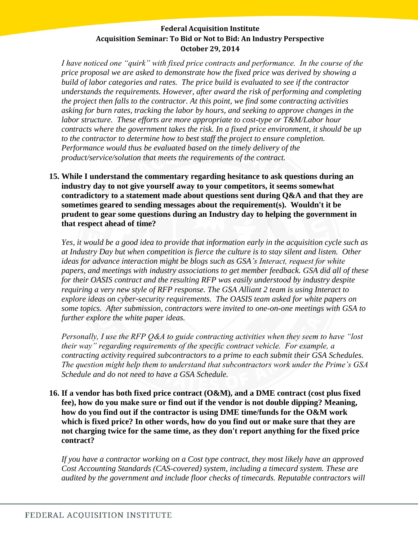*I have noticed one "quirk" with fixed price contracts and performance. In the course of the price proposal we are asked to demonstrate how the fixed price was derived by showing a build of labor categories and rates. The price build is evaluated to see if the contractor understands the requirements. However, after award the risk of performing and completing the project then falls to the contractor. At this point, we find some contracting activities asking for burn rates, tracking the labor by hours, and seeking to approve changes in the labor structure. These efforts are more appropriate to cost-type or T&M/Labor hour contracts where the government takes the risk. In a fixed price environment, it should be up to the contractor to determine how to best staff the project to ensure completion. Performance would thus be evaluated based on the timely delivery of the product/service/solution that meets the requirements of the contract.*

# **15. While I understand the commentary regarding hesitance to ask questions during an industry day to not give yourself away to your competitors, it seems somewhat contradictory to a statement made about questions sent during Q&A and that they are sometimes geared to sending messages about the requirement(s). Wouldn't it be prudent to gear some questions during an Industry day to helping the government in that respect ahead of time?**

*Yes, it would be a good idea to provide that information early in the acquisition cycle such as at Industry Day but when competition is fierce the culture is to stay silent and listen. Other ideas for advance interaction might be blogs such as GSA's Interact, request for white papers, and meetings with industry associations to get member feedback. GSA did all of these for their OASIS contract and the resulting RFP was easily understood by industry despite requiring a very new style of RFP response. The GSA Alliant 2 team is using Interact to explore ideas on cyber-security requirements. The OASIS team asked for white papers on some topics. After submission, contractors were invited to one-on-one meetings with GSA to further explore the white paper ideas.*

*Personally, I use the RFP Q&A to guide contracting activities when they seem to have "lost their way" regarding requirements of the specific contract vehicle. For example, a contracting activity required subcontractors to a prime to each submit their GSA Schedules. The question might help them to understand that subcontractors work under the Prime's GSA Schedule and do not need to have a GSA Schedule.*

**16. If a vendor has both fixed price contract (O&M), and a DME contract (cost plus fixed fee), how do you make sure or find out if the vendor is not double dipping? Meaning, how do you find out if the contractor is using DME time/funds for the O&M work which is fixed price? In other words, how do you find out or make sure that they are not charging twice for the same time, as they don't report anything for the fixed price contract?** 

*If you have a contractor working on a Cost type contract, they most likely have an approved Cost Accounting Standards (CAS-covered) system, including a timecard system. These are audited by the government and include floor checks of timecards. Reputable contractors will*